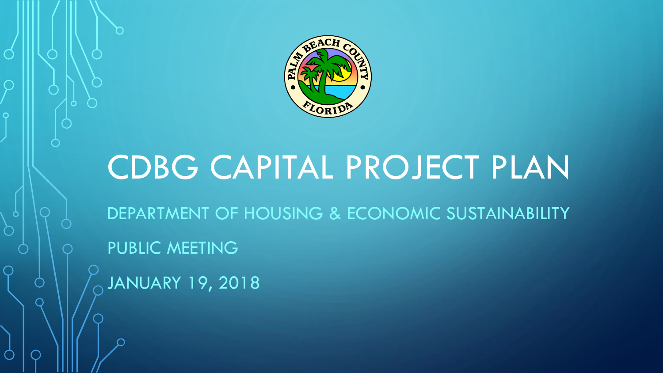

# CDBG CAPITAL PROJECT PLAN

DEPARTMENT OF HOUSING & ECONOMIC SUSTAINABILITY

PUBLIC MEETING

JANUARY 19, 2018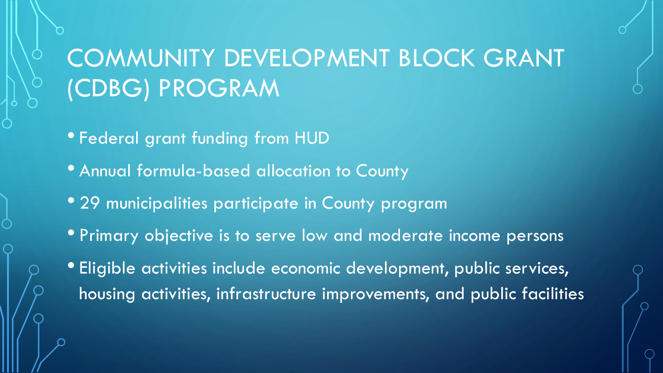## COMMUNITY DEVELOPMENT BLOCK GRANT (CDBG) PROGRAM

- Federal grant funding from HUD
- Annual formula-based allocation to County
- 29 municipalities participate in County program
- Primary objective is to serve low and moderate income persons
- Eligible activities include economic development, public services, housing activities, infrastructure improvements, and public facilities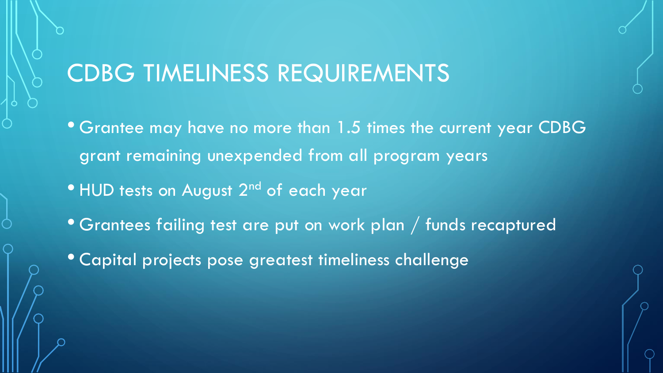#### CDBG TIMELINESS REQUIREMENTS

- Grantee may have no more than 1.5 times the current year CDBG grant remaining unexpended from all program years
- HUD tests on August 2<sup>nd</sup> of each year
- Grantees failing test are put on work plan / funds recaptured
- Capital projects pose greatest timeliness challenge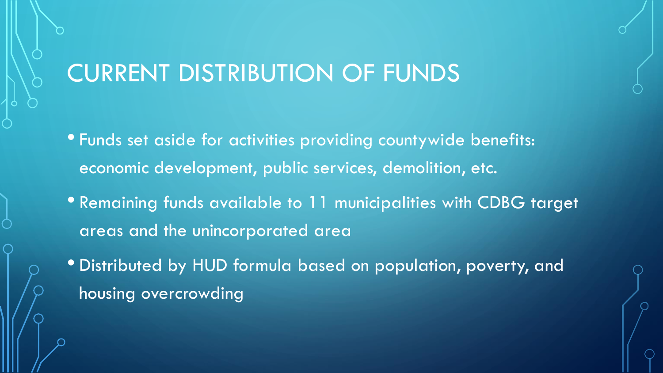#### CURRENT DISTRIBUTION OF FUNDS

- Funds set aside for activities providing countywide benefits: economic development, public services, demolition, etc.
- Remaining funds available to 11 municipalities with CDBG target areas and the unincorporated area
- Distributed by HUD formula based on population, poverty, and housing overcrowding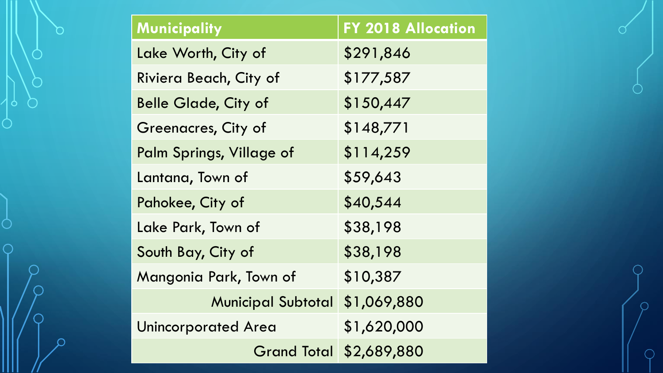| Municipality                | <b>FY 2018 Allocation</b> |
|-----------------------------|---------------------------|
| Lake Worth, City of         | \$291,846                 |
| Riviera Beach, City of      | \$177,587                 |
| <b>Belle Glade, City of</b> | \$150,447                 |
| Greenacres, City of         | \$148,771                 |
| Palm Springs, Village of    | \$114,259                 |
| Lantana, Town of            | \$59,643                  |
| Pahokee, City of            | \$40,544                  |
| Lake Park, Town of          | \$38,198                  |
| South Bay, City of          | \$38,198                  |
| Mangonia Park, Town of      | \$10,387                  |
| <b>Municipal Subtotal</b>   | \$1,069,880               |
| <b>Unincorporated Area</b>  | \$1,620,000               |
| <b>Grand Total</b>          | \$2,689,880               |

∩

 $\left| \right|$ 

 $\bigcap$ 

 $\bigcap$ 

 $\subset$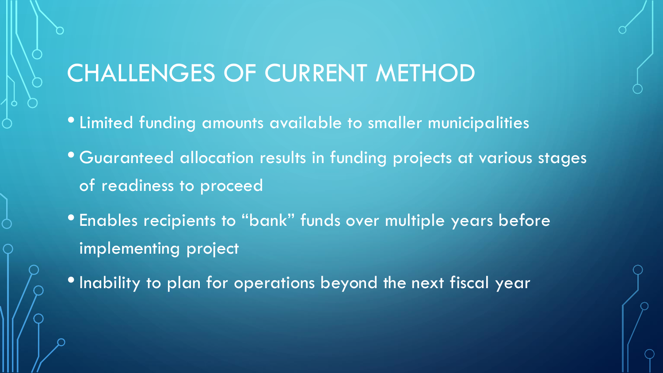#### CHALLENGES OF CURRENT METHOD

- Limited funding amounts available to smaller municipalities
- Guaranteed allocation results in funding projects at various stages of readiness to proceed
- Enables recipients to "bank" funds over multiple years before implementing project
- Inability to plan for operations beyond the next fiscal year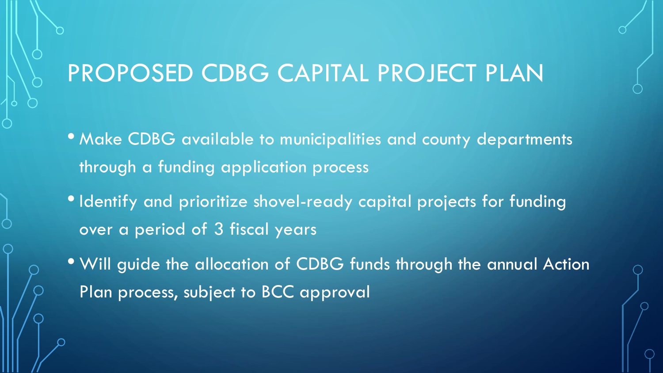#### PROPOSED CDBG CAPITAL PROJECT PLAN

- Make CDBG available to municipalities and county departments through a funding application process
- Identify and prioritize shovel-ready capital projects for funding over a period of 3 fiscal years
- Will guide the allocation of CDBG funds through the annual Action Plan process, subject to BCC approval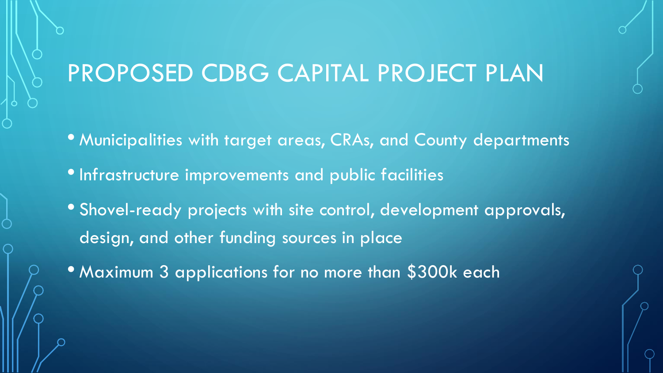#### PROPOSED CDBG CAPITAL PROJECT PLAN

- Municipalities with target areas, CRAs, and County departments
- Infrastructure improvements and public facilities
- Shovel-ready projects with site control, development approvals, design, and other funding sources in place
- Maximum 3 applications for no more than \$300k each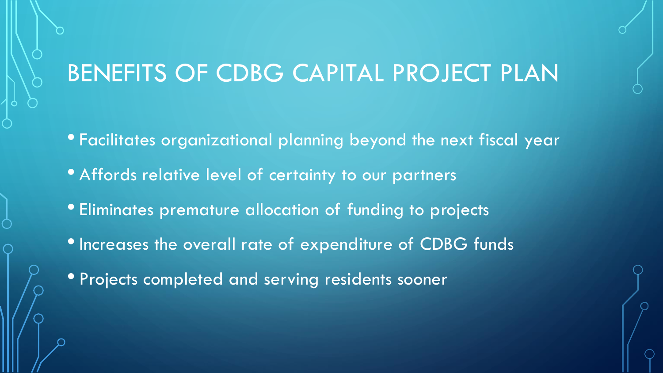#### BENEFITS OF CDBG CAPITAL PROJECT PLAN

- Facilitates organizational planning beyond the next fiscal year
- Affords relative level of certainty to our partners
- Eliminates premature allocation of funding to projects
- Increases the overall rate of expenditure of CDBG funds
- Projects completed and serving residents sooner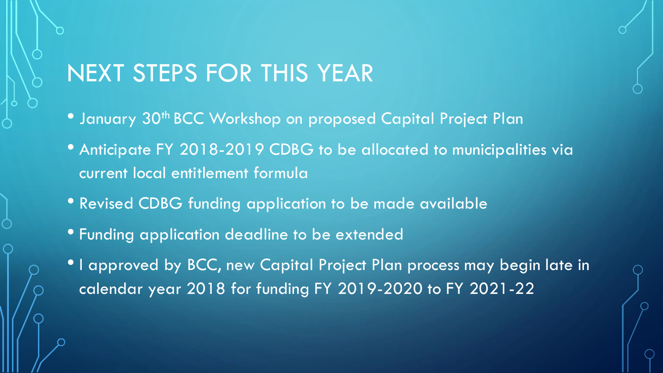### NEXT STEPS FOR THIS YEAR

- **January 30th BCC Workshop on proposed Capital Project Plan**
- Anticipate FY 2018-2019 CDBG to be allocated to municipalities via current local entitlement formula
- Revised CDBG funding application to be made available
- Funding application deadline to be extended
- I approved by BCC, new Capital Project Plan process may begin late in calendar year 2018 for funding FY 2019-2020 to FY 2021-22